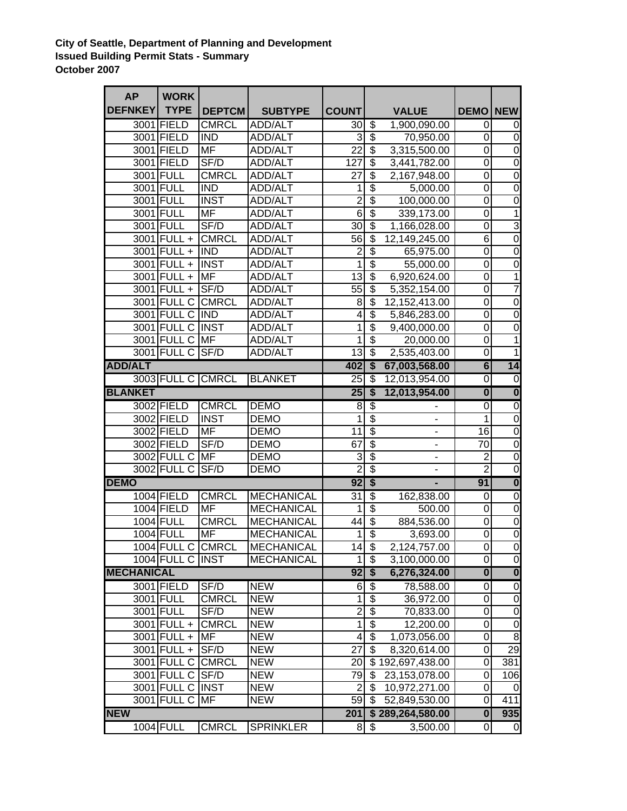## **City of Seattle, Department of Planning and Development Issued Building Permit Stats - Summary October 2007**

| <b>AP</b>         | <b>WORK</b>       |                   |                   |                 |                                      |                              |                         |                         |
|-------------------|-------------------|-------------------|-------------------|-----------------|--------------------------------------|------------------------------|-------------------------|-------------------------|
| <b>DEFNKEY</b>    | <b>TYPE</b>       | <b>DEPTCM</b>     | <b>SUBTYPE</b>    | <b>COUNT</b>    |                                      | <b>VALUE</b>                 | <b>DEMO</b>             | <b>NEW</b>              |
|                   | 3001 FIELD        | <b>CMRCL</b>      | <b>ADD/ALT</b>    | 30              | \$                                   | 1,900,090.00                 | 0                       | 0                       |
|                   | 3001 FIELD        | <b>IND</b>        | <b>ADD/ALT</b>    | 3               | $\overline{\$}$                      | 70,950.00                    | 0                       | $\mathbf 0$             |
|                   | 3001 FIELD        | <b>MF</b>         | <b>ADD/ALT</b>    | $\overline{22}$ | $\overline{\$}$                      | 3,315,500.00                 | $\boldsymbol{0}$        | $\overline{0}$          |
|                   | 3001 FIELD        | SF/D              | <b>ADD/ALT</b>    | 127             | $\overline{\$}$                      | 3,441,782.00                 | $\mathbf 0$             | $\overline{0}$          |
|                   | 3001 FULL         | <b>CMRCL</b>      | ADD/ALT           | 27              | $\overline{\$}$                      | 2,167,948.00                 | $\mathbf 0$             | $\overline{0}$          |
|                   | 3001 FULL         | <b>IND</b>        | <b>ADD/ALT</b>    | 1               | $\overline{\$}$                      | 5,000.00                     | $\mathbf 0$             | $\overline{0}$          |
|                   | 3001 FULL         | <b>INST</b>       | <b>ADD/ALT</b>    | $\overline{2}$  | $\overline{\boldsymbol{\mathsf{s}}}$ | 100,000.00                   | $\mathbf 0$             | $\mathbf 0$             |
|                   | 3001 FULL         | <b>MF</b>         | <b>ADD/ALT</b>    | $\overline{6}$  | $\overline{\$}$                      | 339,173.00                   | $\mathbf 0$             | $\overline{1}$          |
|                   | 3001 FULL         | SF/D              | <b>ADD/ALT</b>    | 30              | $\overline{\$}$                      | 1,166,028.00                 | $\mathbf 0$             | $\overline{3}$          |
|                   | 3001 FULL +       | <b>CMRCL</b>      | <b>ADD/ALT</b>    | 56              | $\overline{\$}$                      | 12,149,245.00                | $\overline{6}$          | $\overline{0}$          |
|                   | $3001$ FULL +     | <b>IND</b>        | <b>ADD/ALT</b>    | $\overline{2}$  | $\overline{\$}$                      | 65,975.00                    | $\mathbf 0$             | $\overline{0}$          |
|                   | 3001 FULL +       | <b>INST</b>       | <b>ADD/ALT</b>    | 1               | $\overline{\$}$                      | 55,000.00                    | $\boldsymbol{0}$        | $\overline{0}$          |
|                   | 3001 FULL +       | <b>MF</b>         | <b>ADD/ALT</b>    | $\overline{13}$ | \$                                   | 6,920,624.00                 | $\overline{0}$          | $\overline{1}$          |
|                   | 3001 FULL +       | SF/D              | <b>ADD/ALT</b>    | $\overline{55}$ | $\overline{\$}$                      | 5,352,154.00                 | $\overline{0}$          | $\overline{7}$          |
|                   | 3001 FULL C       | <b>CMRCL</b>      | <b>ADD/ALT</b>    | 8               | $\overline{\$}$                      | 12,152,413.00                | $\mathbf 0$             | $\overline{0}$          |
|                   | 3001 FULL C       | <b>IND</b>        | <b>ADD/ALT</b>    | 4               | $\overline{\$}$                      | 5,846,283.00                 | $\overline{0}$          | $\overline{0}$          |
|                   | 3001 FULL C       | <b>INST</b>       | <b>ADD/ALT</b>    | 1               | $\overline{\$}$                      | 9,400,000.00                 | $\overline{0}$          | $\overline{0}$          |
|                   | 3001 FULL C       | MF                | <b>ADD/ALT</b>    | 1               | $\overline{\$}$                      | 20,000.00                    | $\mathbf 0$             | $\overline{1}$          |
|                   | 3001 FULL C       | SF/D              | <b>ADD/ALT</b>    | $\overline{13}$ | $\overline{\$}$                      | 2,535,403.00                 | $\mathbf 0$             | $\overline{1}$          |
| <b>ADD/ALT</b>    |                   |                   |                   | 402             | $\overline{\boldsymbol{\mathsf{s}}}$ | 67,003,568.00                | $\overline{6}$          | 14                      |
|                   | 3003 FULL C CMRCL |                   | <b>BLANKET</b>    | $\overline{25}$ | $\overline{\$}$                      | 12,013,954.00                | $\overline{0}$          | $\overline{0}$          |
| <b>BLANKET</b>    |                   |                   |                   | $\overline{25}$ | \$                                   | 12,013,954.00                | $\overline{\mathbf{0}}$ | $\overline{\mathbf{0}}$ |
|                   | 3002 FIELD        | <b>CMRCL</b>      | <b>DEMO</b>       | 8               | \$                                   |                              | $\overline{0}$          | $\overline{0}$          |
|                   | 3002 FIELD        | <b>INST</b>       | <b>DEMO</b>       | 1               | $\overline{\$}$                      |                              | $\mathbf{1}$            | $\overline{0}$          |
|                   | 3002 FIELD        | MF                | <b>DEMO</b>       | 11              | \$                                   | $\qquad \qquad \blacksquare$ | 16                      | $\overline{0}$          |
|                   | 3002 FIELD        | SF/D              | <b>DEMO</b>       | 67              | \$                                   | ÷                            | 70                      | $\overline{0}$          |
|                   | 3002 FULL C       | MF                | <b>DEMO</b>       | 3               | $\overline{\$}$                      | -                            | $\overline{2}$          | $\overline{0}$          |
|                   | 3002 FULL C       | SF/D              | <b>DEMO</b>       | $\overline{2}$  | $\overline{\$}$                      | $\blacksquare$               | $\overline{2}$          | $\overline{0}$          |
| <b>DEMO</b>       |                   |                   |                   | 92              | \$                                   | $\blacksquare$               | 91                      | $\overline{\mathbf{0}}$ |
|                   | 1004 FIELD        | <b>CMRCL</b>      | <b>MECHANICAL</b> | $\overline{31}$ | \$                                   | 162,838.00                   | 0                       | $\overline{0}$          |
|                   | 1004 FIELD        | <b>MF</b>         | <b>MECHANICAL</b> | 1               | $\overline{\$}$                      | 500.00                       | $\mathbf 0$             | $\overline{0}$          |
|                   | 1004 FULL         | <b>CMRCL</b>      | <b>MECHANICAL</b> | 44              | $\overline{\$}$                      | 884,536.00                   | $\mathbf 0$             | $\overline{0}$          |
|                   | <b>1004 FULL</b>  | <b>MF</b>         | <b>MECHANICAL</b> | $\overline{1}$  | $\overline{\$}$                      | 3,693.00                     | 0                       | $\overline{0}$          |
|                   |                   | 1004 FULL C CMRCL | <b>MECHANICAL</b> | 14              | $\overline{\theta}$                  | 2,124,757.00                 | $\overline{0}$          | $\overline{0}$          |
|                   | 1004 FULL C INST  |                   | <b>MECHANICAL</b> | 1               | $\overline{\$}$                      | 3,100,000.00                 | $\mathbf 0$             | $\overline{0}$          |
| <b>MECHANICAL</b> |                   |                   |                   | 92              | \$                                   | 6,276,324.00                 | $\pmb{0}$               | $\overline{\mathbf{0}}$ |
|                   | 3001 FIELD        | SF/D              | <b>NEW</b>        | 6               | $\overline{\mathbf{e}}$              | 78,588.00                    | 0                       | $\overline{0}$          |
|                   | 3001 FULL         | <b>CMRCL</b>      | <b>NEW</b>        | 1               | $\overline{\mathbf{e}}$              | 36,972.00                    | 0                       | $\pmb{0}$               |
|                   | 3001 FULL         | SF/D              | <b>NEW</b>        | $\overline{2}$  | $\overline{\$}$                      | 70,833.00                    | 0                       | $\pmb{0}$               |
|                   | $3001$ FULL +     | <b>CMRCL</b>      | <b>NEW</b>        | 1               | $\overline{\mathbf{e}}$              | 12,200.00                    | 0                       | $\mathbf 0$             |
|                   | 3001 FULL +       | <b>MF</b>         | <b>NEW</b>        | 4               | $\overline{\mathbf{S}}$              | 1,073,056.00                 | 0                       | $\overline{8}$          |
|                   | 3001 FULL +       | SF/D              | <b>NEW</b>        | 27              | $\overline{\mathbf{e}}$              | 8,320,614.00                 | 0                       | 29                      |
|                   | 3001 FULL C       | <b>CMRCL</b>      | <b>NEW</b>        | 20              |                                      | \$192,697,438.00             | $\boldsymbol{0}$        | 381                     |
|                   | 3001 FULL C       | SF/D              | <b>NEW</b>        | 79              | \$                                   | 23,153,078.00                | 0                       | 106                     |
|                   | 3001 FULL C INST  |                   | <b>NEW</b>        | 2               | $\overline{\mathcal{G}}$             | 10,972,271.00                | 0                       | 0                       |
|                   | 3001 FULL C       | <b>MF</b>         | <b>NEW</b>        | 59              | $\overline{\$}$                      | 52,849,530.00                | 0                       | 411                     |
| <b>NEW</b>        | 201               |                   | \$289,264,580.00  | $\bullet$       | 935                                  |                              |                         |                         |
|                   | 1004 FULL         | <b>CMRCL</b>      | <b>SPRINKLER</b>  | 8 <sup>1</sup>  | \$                                   | 3,500.00                     | 0                       | 0                       |